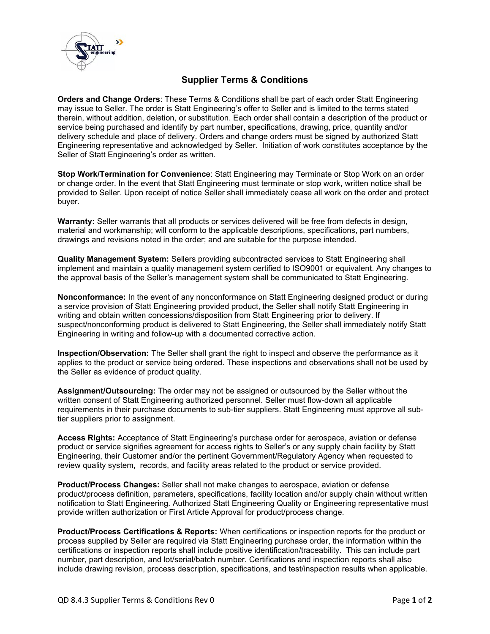

## **Supplier Terms & Conditions**

**Orders and Change Orders**: These Terms & Conditions shall be part of each order Statt Engineering may issue to Seller. The order is Statt Engineering's offer to Seller and is limited to the terms stated therein, without addition, deletion, or substitution. Each order shall contain a description of the product or service being purchased and identify by part number, specifications, drawing, price, quantity and/or delivery schedule and place of delivery. Orders and change orders must be signed by authorized Statt Engineering representative and acknowledged by Seller. Initiation of work constitutes acceptance by the Seller of Statt Engineering's order as written.

**Stop Work/Termination for Convenienc**e: Statt Engineering may Terminate or Stop Work on an order or change order. In the event that Statt Engineering must terminate or stop work, written notice shall be provided to Seller. Upon receipt of notice Seller shall immediately cease all work on the order and protect buyer.

**Warranty:** Seller warrants that all products or services delivered will be free from defects in design, material and workmanship; will conform to the applicable descriptions, specifications, part numbers, drawings and revisions noted in the order; and are suitable for the purpose intended.

**Quality Management System:** Sellers providing subcontracted services to Statt Engineering shall implement and maintain a quality management system certified to ISO9001 or equivalent. Any changes to the approval basis of the Seller's management system shall be communicated to Statt Engineering.

**Nonconformance:** In the event of any nonconformance on Statt Engineering designed product or during a service provision of Statt Engineering provided product, the Seller shall notify Statt Engineering in writing and obtain written concessions/disposition from Statt Engineering prior to delivery. If suspect/nonconforming product is delivered to Statt Engineering, the Seller shall immediately notify Statt Engineering in writing and follow-up with a documented corrective action.

**Inspection/Observation:** The Seller shall grant the right to inspect and observe the performance as it applies to the product or service being ordered. These inspections and observations shall not be used by the Seller as evidence of product quality.

**Assignment/Outsourcing:** The order may not be assigned or outsourced by the Seller without the written consent of Statt Engineering authorized personnel. Seller must flow-down all applicable requirements in their purchase documents to sub-tier suppliers. Statt Engineering must approve all subtier suppliers prior to assignment.

**Access Rights:** Acceptance of Statt Engineering's purchase order for aerospace, aviation or defense product or service signifies agreement for access rights to Seller's or any supply chain facility by Statt Engineering, their Customer and/or the pertinent Government/Regulatory Agency when requested to review quality system, records, and facility areas related to the product or service provided.

**Product/Process Changes:** Seller shall not make changes to aerospace, aviation or defense product/process definition, parameters, specifications, facility location and/or supply chain without written notification to Statt Engineering. Authorized Statt Engineering Quality or Engineering representative must provide written authorization or First Article Approval for product/process change.

**Product/Process Certifications & Reports:** When certifications or inspection reports for the product or process supplied by Seller are required via Statt Engineering purchase order, the information within the certifications or inspection reports shall include positive identification/traceability. This can include part number, part description, and lot/serial/batch number. Certifications and inspection reports shall also include drawing revision, process description, specifications, and test/inspection results when applicable.